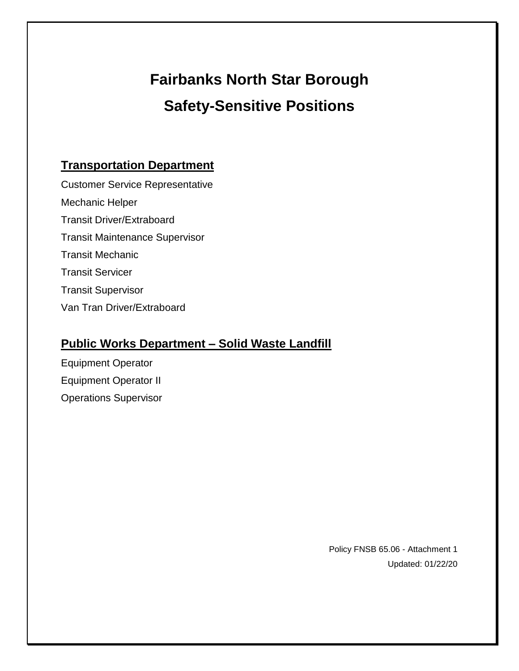# **Fairbanks North Star Borough Safety-Sensitive Positions**

## **Transportation Department**

Customer Service Representative Mechanic Helper Transit Driver/Extraboard Transit Maintenance Supervisor Transit Mechanic Transit Servicer Transit Supervisor Van Tran Driver/Extraboard

## **Public Works Department – Solid Waste Landfill**

Equipment Operator Equipment Operator II Operations Supervisor

> Policy FNSB 65.06 - Attachment 1 Updated: 01/22/20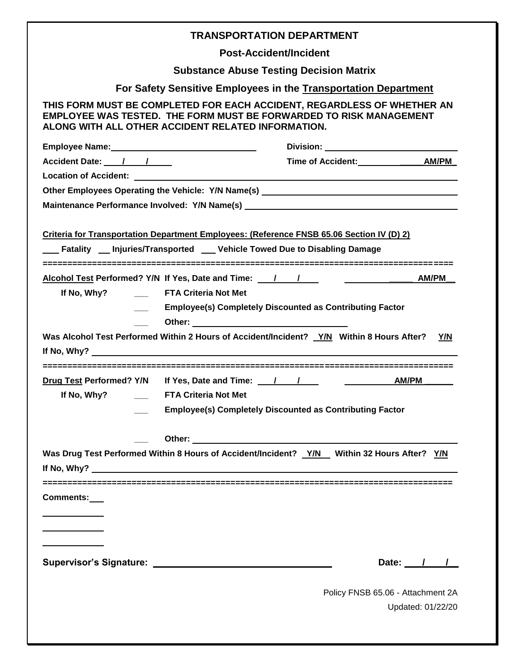|                                                                       |                                                                 | <b>TRANSPORTATION DEPARTMENT</b>                                                                                                                                                                                                                                                                                              |                                                                                                                                                                                                                                                                                                                                                                                                                                                                                        |  |  |  |  |  |
|-----------------------------------------------------------------------|-----------------------------------------------------------------|-------------------------------------------------------------------------------------------------------------------------------------------------------------------------------------------------------------------------------------------------------------------------------------------------------------------------------|----------------------------------------------------------------------------------------------------------------------------------------------------------------------------------------------------------------------------------------------------------------------------------------------------------------------------------------------------------------------------------------------------------------------------------------------------------------------------------------|--|--|--|--|--|
| <b>Post-Accident/Incident</b>                                         |                                                                 |                                                                                                                                                                                                                                                                                                                               |                                                                                                                                                                                                                                                                                                                                                                                                                                                                                        |  |  |  |  |  |
|                                                                       | <b>Substance Abuse Testing Decision Matrix</b>                  |                                                                                                                                                                                                                                                                                                                               |                                                                                                                                                                                                                                                                                                                                                                                                                                                                                        |  |  |  |  |  |
|                                                                       | For Safety Sensitive Employees in the Transportation Department |                                                                                                                                                                                                                                                                                                                               |                                                                                                                                                                                                                                                                                                                                                                                                                                                                                        |  |  |  |  |  |
| ALONG WITH ALL OTHER ACCIDENT RELATED INFORMATION.                    |                                                                 | THIS FORM MUST BE COMPLETED FOR EACH ACCIDENT, REGARDLESS OF WHETHER AN<br><b>EMPLOYEE WAS TESTED. THE FORM MUST BE FORWARDED TO RISK MANAGEMENT</b>                                                                                                                                                                          |                                                                                                                                                                                                                                                                                                                                                                                                                                                                                        |  |  |  |  |  |
|                                                                       |                                                                 |                                                                                                                                                                                                                                                                                                                               |                                                                                                                                                                                                                                                                                                                                                                                                                                                                                        |  |  |  |  |  |
| Accident Date: 1 /                                                    |                                                                 |                                                                                                                                                                                                                                                                                                                               |                                                                                                                                                                                                                                                                                                                                                                                                                                                                                        |  |  |  |  |  |
|                                                                       |                                                                 |                                                                                                                                                                                                                                                                                                                               |                                                                                                                                                                                                                                                                                                                                                                                                                                                                                        |  |  |  |  |  |
|                                                                       |                                                                 | Other Employees Operating the Vehicle: Y/N Name(s) _____________________________<br>Maintenance Performance Involved: Y/N Name(s) __________________________________                                                                                                                                                          |                                                                                                                                                                                                                                                                                                                                                                                                                                                                                        |  |  |  |  |  |
|                                                                       |                                                                 | Criteria for Transportation Department Employees: (Reference FNSB 65.06 Section IV (D) 2)<br><b>Example 2</b> Injuries/Transported Lettable Towed Due to Disabling Damage                                                                                                                                                     |                                                                                                                                                                                                                                                                                                                                                                                                                                                                                        |  |  |  |  |  |
| Alcohol Test Performed? Y/N If Yes, Date and Time: 1 /<br>If No, Why? | <b>EXALGREE SETA Criteria Not Met</b>                           | <b>Employee(s) Completely Discounted as Contributing Factor</b><br>Was Alcohol Test Performed Within 2 Hours of Accident/Incident? Y/N Within 8 Hours After?                                                                                                                                                                  | $\overline{\phantom{a}}$ $\overline{\phantom{a}}$ $\overline{\phantom{a}}$ $\overline{\phantom{a}}$ $\overline{\phantom{a}}$ $\overline{\phantom{a}}$ $\overline{\phantom{a}}$ $\overline{\phantom{a}}$ $\overline{\phantom{a}}$ $\overline{\phantom{a}}$ $\overline{\phantom{a}}$ $\overline{\phantom{a}}$ $\overline{\phantom{a}}$ $\overline{\phantom{a}}$ $\overline{\phantom{a}}$ $\overline{\phantom{a}}$ $\overline{\phantom{a}}$ $\overline{\phantom{a}}$ $\overline{\$<br>Y/N |  |  |  |  |  |
| ======================================                                |                                                                 |                                                                                                                                                                                                                                                                                                                               |                                                                                                                                                                                                                                                                                                                                                                                                                                                                                        |  |  |  |  |  |
| Drug Test Performed? Y/N If Yes, Date and Time: 1 1                   |                                                                 |                                                                                                                                                                                                                                                                                                                               | AM/PM                                                                                                                                                                                                                                                                                                                                                                                                                                                                                  |  |  |  |  |  |
|                                                                       |                                                                 |                                                                                                                                                                                                                                                                                                                               |                                                                                                                                                                                                                                                                                                                                                                                                                                                                                        |  |  |  |  |  |
|                                                                       |                                                                 | <b>Employee(s) Completely Discounted as Contributing Factor</b>                                                                                                                                                                                                                                                               |                                                                                                                                                                                                                                                                                                                                                                                                                                                                                        |  |  |  |  |  |
|                                                                       |                                                                 |                                                                                                                                                                                                                                                                                                                               |                                                                                                                                                                                                                                                                                                                                                                                                                                                                                        |  |  |  |  |  |
|                                                                       |                                                                 | Other: example and a series of the series of the series of the series of the series of the series of the series of the series of the series of the series of the series of the series of the series of the series of the serie<br>Was Drug Test Performed Within 8 Hours of Accident/Incident? Y/N Within 32 Hours After? Y/N |                                                                                                                                                                                                                                                                                                                                                                                                                                                                                        |  |  |  |  |  |
| <b>Comments:</b><br>and the control of the control of                 |                                                                 |                                                                                                                                                                                                                                                                                                                               |                                                                                                                                                                                                                                                                                                                                                                                                                                                                                        |  |  |  |  |  |
|                                                                       |                                                                 |                                                                                                                                                                                                                                                                                                                               | Date: $/$ /                                                                                                                                                                                                                                                                                                                                                                                                                                                                            |  |  |  |  |  |
|                                                                       |                                                                 |                                                                                                                                                                                                                                                                                                                               | Policy FNSB 65.06 - Attachment 2A<br>Updated: 01/22/20                                                                                                                                                                                                                                                                                                                                                                                                                                 |  |  |  |  |  |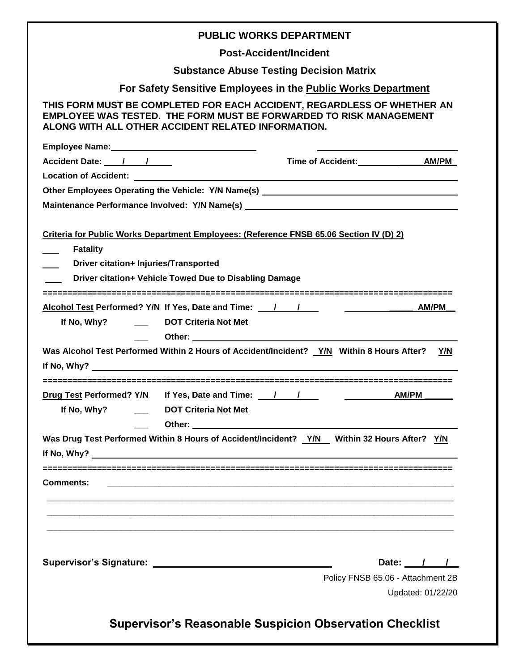| <b>PUBLIC WORKS DEPARTMENT</b>                                                                                                                                                                                |  |  |  |  |  |  |  |
|---------------------------------------------------------------------------------------------------------------------------------------------------------------------------------------------------------------|--|--|--|--|--|--|--|
| <b>Post-Accident/Incident</b>                                                                                                                                                                                 |  |  |  |  |  |  |  |
| <b>Substance Abuse Testing Decision Matrix</b>                                                                                                                                                                |  |  |  |  |  |  |  |
| For Safety Sensitive Employees in the Public Works Department                                                                                                                                                 |  |  |  |  |  |  |  |
| THIS FORM MUST BE COMPLETED FOR EACH ACCIDENT, REGARDLESS OF WHETHER AN<br><b>EMPLOYEE WAS TESTED. THE FORM MUST BE FORWARDED TO RISK MANAGEMENT</b><br>ALONG WITH ALL OTHER ACCIDENT RELATED INFORMATION.    |  |  |  |  |  |  |  |
|                                                                                                                                                                                                               |  |  |  |  |  |  |  |
| Accident Date: 1 1                                                                                                                                                                                            |  |  |  |  |  |  |  |
|                                                                                                                                                                                                               |  |  |  |  |  |  |  |
| Other Employees Operating the Vehicle: Y/N Name(s) _____________________________                                                                                                                              |  |  |  |  |  |  |  |
| Maintenance Performance Involved: Y/N Name(s) __________________________________                                                                                                                              |  |  |  |  |  |  |  |
| Criteria for Public Works Department Employees: (Reference FNSB 65.06 Section IV (D) 2)<br><b>Fatality</b><br>Driver citation+ Injuries/Transported<br>Driver citation+ Vehicle Towed Due to Disabling Damage |  |  |  |  |  |  |  |
| Alcohol Test Performed? Y/N If Yes, Date and Time: 1<br>If No, Why? ________ DOT Criteria Not Met                                                                                                             |  |  |  |  |  |  |  |
| Was Alcohol Test Performed Within 2 Hours of Accident/Incident? Y/N Within 8 Hours After?<br>Y/N<br>If No, Why? $\qquad \qquad$                                                                               |  |  |  |  |  |  |  |
| Drug Test Performed? Y/N If Yes, Date and Time: 11<br>AM/PM<br>If No, Why? _________ DOT Criteria Not Met                                                                                                     |  |  |  |  |  |  |  |
| Was Drug Test Performed Within 8 Hours of Accident/Incident? Y/N Within 32 Hours After? Y/N                                                                                                                   |  |  |  |  |  |  |  |
| <b>Comments:</b>                                                                                                                                                                                              |  |  |  |  |  |  |  |
|                                                                                                                                                                                                               |  |  |  |  |  |  |  |
| Date: $/$ /<br>Policy FNSB 65.06 - Attachment 2B<br>Updated: 01/22/20                                                                                                                                         |  |  |  |  |  |  |  |
| <b>Supervisor's Reasonable Suspicion Observation Checklist</b>                                                                                                                                                |  |  |  |  |  |  |  |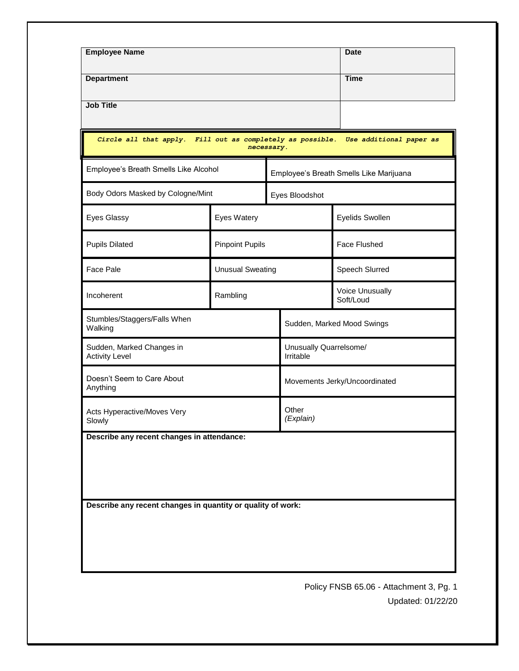|                                                    | <b>Department</b>       |                                            |                                     |                                                                                                                                                                                    |  |  |
|----------------------------------------------------|-------------------------|--------------------------------------------|-------------------------------------|------------------------------------------------------------------------------------------------------------------------------------------------------------------------------------|--|--|
| <b>Job Title</b>                                   |                         |                                            |                                     |                                                                                                                                                                                    |  |  |
|                                                    |                         |                                            |                                     | Use additional paper as                                                                                                                                                            |  |  |
| Employee's Breath Smells Like Alcohol              |                         |                                            |                                     | Employee's Breath Smells Like Marijuana                                                                                                                                            |  |  |
| Body Odors Masked by Cologne/Mint                  |                         |                                            | Eyes Bloodshot                      |                                                                                                                                                                                    |  |  |
|                                                    | Eyes Watery             |                                            |                                     | Eyelids Swollen                                                                                                                                                                    |  |  |
|                                                    | <b>Pinpoint Pupils</b>  |                                            |                                     | <b>Face Flushed</b>                                                                                                                                                                |  |  |
|                                                    | <b>Unusual Sweating</b> |                                            |                                     | Speech Slurred                                                                                                                                                                     |  |  |
|                                                    | Rambling                |                                            |                                     | Voice Unusually<br>Soft/Loud                                                                                                                                                       |  |  |
| Stumbles/Staggers/Falls When<br>Walking            |                         |                                            | Sudden, Marked Mood Swings          |                                                                                                                                                                                    |  |  |
| Sudden, Marked Changes in<br><b>Activity Level</b> |                         |                                            | Unusually Quarrelsome/<br>Irritable |                                                                                                                                                                                    |  |  |
| Doesn't Seem to Care About<br>Anything             |                         |                                            | Movements Jerky/Uncoordinated       |                                                                                                                                                                                    |  |  |
| Acts Hyperactive/Moves Very<br>Slowly              |                         |                                            | Other<br>(Explain)                  |                                                                                                                                                                                    |  |  |
|                                                    |                         |                                            |                                     |                                                                                                                                                                                    |  |  |
|                                                    |                         |                                            |                                     |                                                                                                                                                                                    |  |  |
|                                                    |                         |                                            |                                     |                                                                                                                                                                                    |  |  |
|                                                    |                         |                                            |                                     |                                                                                                                                                                                    |  |  |
|                                                    |                         |                                            |                                     |                                                                                                                                                                                    |  |  |
|                                                    |                         |                                            |                                     |                                                                                                                                                                                    |  |  |
|                                                    |                         |                                            |                                     |                                                                                                                                                                                    |  |  |
|                                                    |                         | Describe any recent changes in attendance: |                                     | Circle all that apply. Fill out as completely as possible.<br>necessary.<br>Describe any recent changes in quantity or quality of work:<br>Policy FNSB 65.06 - Attachment 3, Pg. 1 |  |  |

Updated: 01/22/20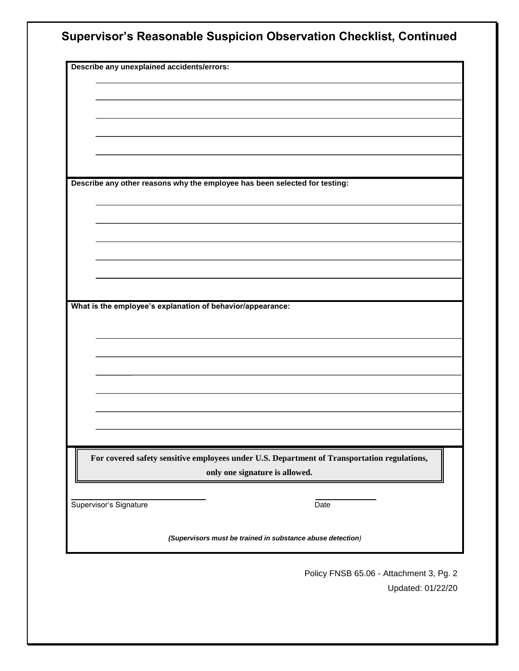|                                                            | Describe any unexplained accidents/errors:                                                  |
|------------------------------------------------------------|---------------------------------------------------------------------------------------------|
|                                                            |                                                                                             |
|                                                            |                                                                                             |
|                                                            |                                                                                             |
|                                                            |                                                                                             |
|                                                            |                                                                                             |
|                                                            |                                                                                             |
|                                                            | Describe any other reasons why the employee has been selected for testing:                  |
|                                                            |                                                                                             |
|                                                            |                                                                                             |
|                                                            |                                                                                             |
|                                                            |                                                                                             |
|                                                            |                                                                                             |
|                                                            |                                                                                             |
|                                                            |                                                                                             |
| What is the employee's explanation of behavior/appearance: |                                                                                             |
|                                                            |                                                                                             |
|                                                            |                                                                                             |
|                                                            |                                                                                             |
|                                                            |                                                                                             |
|                                                            |                                                                                             |
|                                                            |                                                                                             |
|                                                            |                                                                                             |
|                                                            |                                                                                             |
|                                                            | For covered safety sensitive employees under U.S. Department of Transportation regulations, |
|                                                            | only one signature is allowed.                                                              |
|                                                            |                                                                                             |
|                                                            | Date                                                                                        |
| Supervisor's Signature                                     |                                                                                             |

Policy FNSB 65.06 - Attachment 3, Pg. 2 Updated: 01/22/20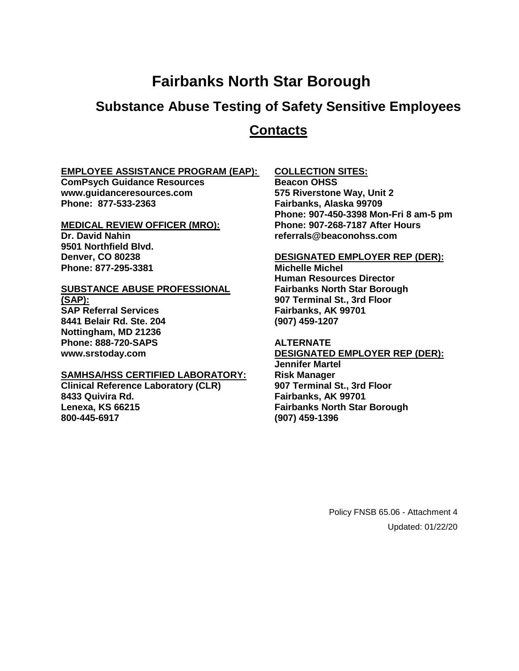## **Fairbanks North Star Borough**

## **Substance Abuse Testing of Safety Sensitive Employees**

### **Contacts**

#### **EMPLOYEE ASSISTANCE PROGRAM (EAP):**

**ComPsych Guidance Resources www.guidanceresources.com Phone: 877-533-2363**

#### **MEDICAL REVIEW OFFICER (MRO):**

**Dr. David Nahin 9501 Northfield Blvd. Denver, CO 80238 Phone: 877-295-3381**

## **SUBSTANCE ABUSE PROFESSIONAL**

**(SAP): SAP Referral Services 8441 Belair Rd. Ste. 204 Nottingham, MD 21236 Phone: 888-720-SAPS www.srstoday.com**

#### **SAMHSA/HSS CERTIFIED LABORATORY:**

**Clinical Reference Laboratory (CLR) 8433 Quivira Rd. Lenexa, KS 66215 800-445-6917**

#### **COLLECTION SITES:**

**Beacon OHSS 575 Riverstone Way, Unit 2 Fairbanks, Alaska 99709 Phone: 907-450-3398 Mon-Fri 8 am-5 pm Phone: 907-268-7187 After Hours referrals@beaconohss.com**

#### **DESIGNATED EMPLOYER REP (DER):**

**Michelle Michel Human Resources Director Fairbanks North Star Borough 907 Terminal St., 3rd Floor Fairbanks, AK 99701 (907) 459-1207**

#### **ALTERNATE**

**DESIGNATED EMPLOYER REP (DER): Jennifer Martel Risk Manager 907 Terminal St., 3rd Floor Fairbanks, AK 99701 Fairbanks North Star Borough (907) 459-1396**

> Policy FNSB 65.06 - Attachment 4 Updated: 01/22/20